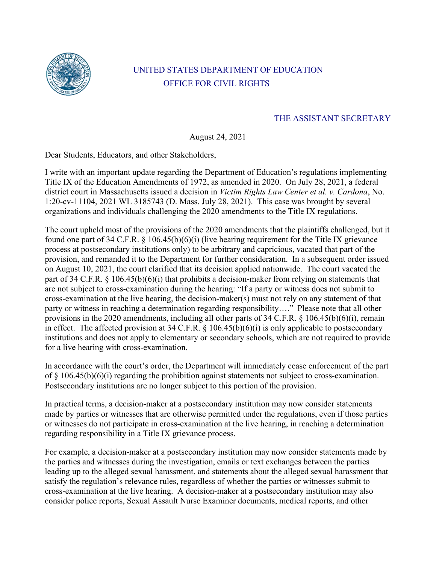

## UNITED STATES DEPARTMENT OF EDUCATION OFFICE FOR CIVIL RIGHTS

## THE ASSISTANT SECRETARY

August 24, 2021

Dear Students, Educators, and other Stakeholders,

I write with an important update regarding the Department of Education's regulations implementing Title IX of the Education Amendments of 1972, as amended in 2020. On July 28, 2021, a federal district court in Massachusetts issued a decision in *Victim Rights Law Center et al. v. Cardona*, No. 1:20-cv-11104, 2021 WL 3185743 (D. Mass. July 28, 2021). This case was brought by several organizations and individuals challenging the 2020 amendments to the Title IX regulations.

The court upheld most of the provisions of the 2020 amendments that the plaintiffs challenged, but it found one part of 34 C.F.R. § 106.45(b)(6)(i) (live hearing requirement for the Title IX grievance process at postsecondary institutions only) to be arbitrary and capricious, vacated that part of the provision, and remanded it to the Department for further consideration. In a subsequent order issued on August 10, 2021, the court clarified that its decision applied nationwide. The court vacated the part of 34 C.F.R. § 106.45(b)(6)(i) that prohibits a decision-maker from relying on statements that are not subject to cross-examination during the hearing: "If a party or witness does not submit to cross-examination at the live hearing, the decision-maker(s) must not rely on any statement of that party or witness in reaching a determination regarding responsibility…." Please note that all other provisions in the 2020 amendments, including all other parts of 34 C.F.R. § 106.45(b)(6)(i), remain in effect. The affected provision at 34 C.F.R.  $\S$  106.45(b)(6)(i) is only applicable to postsecondary institutions and does not apply to elementary or secondary schools, which are not required to provide for a live hearing with cross-examination.

In accordance with the court's order, the Department will immediately cease enforcement of the part of § 106.45(b)(6)(i) regarding the prohibition against statements not subject to cross-examination. Postsecondary institutions are no longer subject to this portion of the provision.

In practical terms, a decision-maker at a postsecondary institution may now consider statements made by parties or witnesses that are otherwise permitted under the regulations, even if those parties or witnesses do not participate in cross-examination at the live hearing, in reaching a determination regarding responsibility in a Title IX grievance process.

For example, a decision-maker at a postsecondary institution may now consider statements made by the parties and witnesses during the investigation, emails or text exchanges between the parties leading up to the alleged sexual harassment, and statements about the alleged sexual harassment that satisfy the regulation's relevance rules, regardless of whether the parties or witnesses submit to cross-examination at the live hearing. A decision-maker at a postsecondary institution may also consider police reports, Sexual Assault Nurse Examiner documents, medical reports, and other